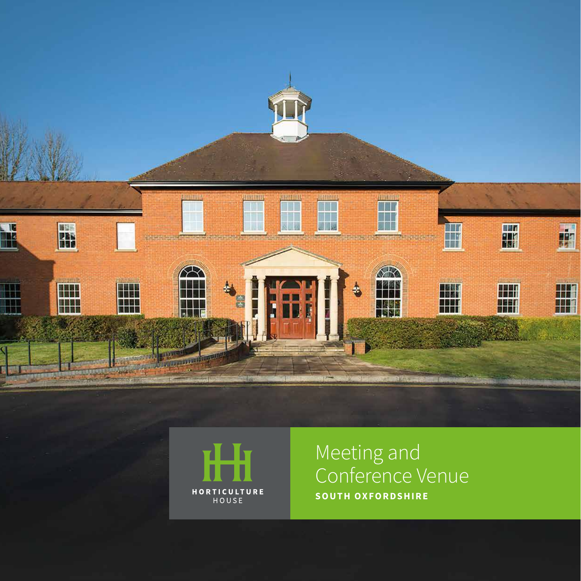



## Meeting and Conference Venue **SOUTH OXFORDSHIRE**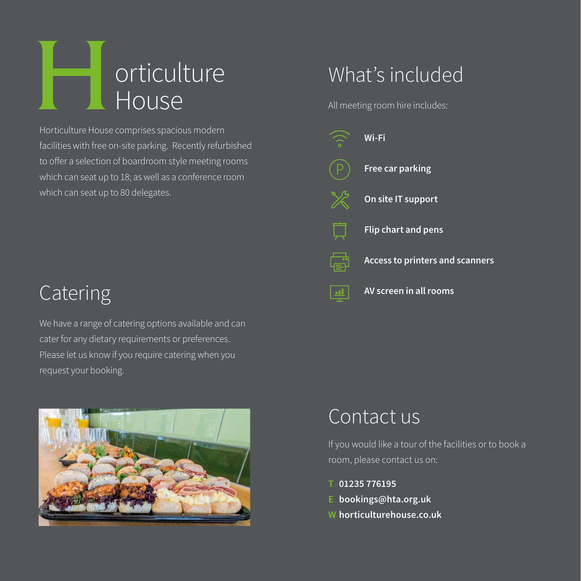

Horticulture House comprises spacious modern facilities with free on-site parking. Recently refurbished to offer a selection of boardroom style meeting rooms which can seat up to 18; as well as a conference room which can seat up to 80 delegates.

All meeting room hire includes:



# Catering

We have a range of catering options available and can cater for any dietary requirements or preferences. Please let us know if you require catering when you request your booking.



# Contact us

If you would like a tour of the facilities or to book a room, please contact us on:

- **T 01235 776195**
- **E bookings@hta.org.uk**
- **W horticulturehouse.co.uk**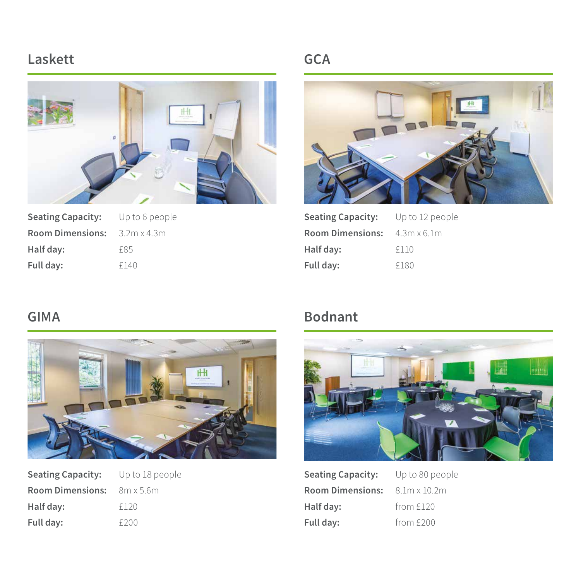#### **Laskett**



| <b>Seating Capacity:</b> | Up to 6 peo        |
|--------------------------|--------------------|
| <b>Room Dimensions:</b>  | $3.2m \times 4.3m$ |
| Half day:                | £85                |
| Full day:                | f140               |

#### **GCA**



| Seating Capacity: Up to 12 people          |      |
|--------------------------------------------|------|
| <b>Room Dimensions:</b> $4.3m \times 6.1m$ |      |
| Half day:                                  | f110 |
| Full day:                                  | £180 |

#### **GIMA**



| <b>Seating Capacity:</b> | Up to 18 people |
|--------------------------|-----------------|
| <b>Room Dimensions:</b>  | - 8m x 5.6m     |
| Half day:                | £120            |
| Full day:                | f200            |

### **Bodnant**



**Seating Capacity:** Up to 80 people **Room Dimensions:** 8.1m x 10.2m Half day: from £120 Full day: **from £200**